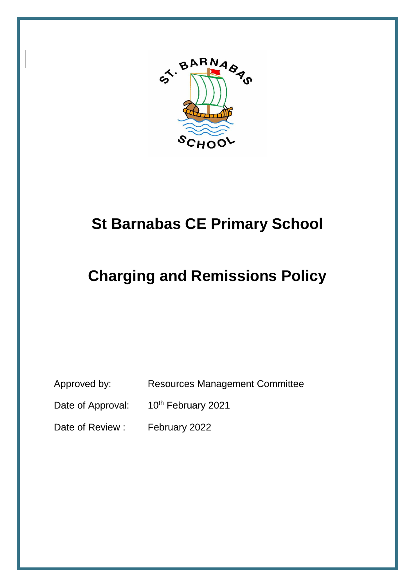

# **St Barnabas CE Primary School**

# **Charging and Remissions Policy**

Approved by: Resources Management Committee

Date of Approval: 10<sup>th</sup> February 2021

Date of Review : February 2022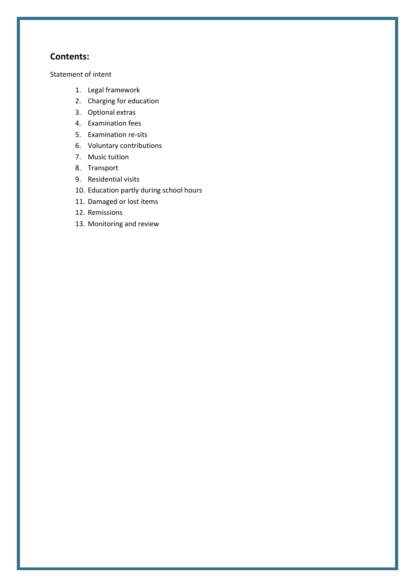## **Contents:**

Statement of intent

- 1. Legal framework
- 2. Charging for education
- 3. Optional extras
- 4. Examination fees
- 5. Examination re-sits
- 6. Voluntary contributions
- 7. Music tuition
- 8. Transport
- 9. Residential visits
- 10. Education partly during school hours
- 11. Damaged or lost items
- 12. Remissions
- 13. Monitoring and review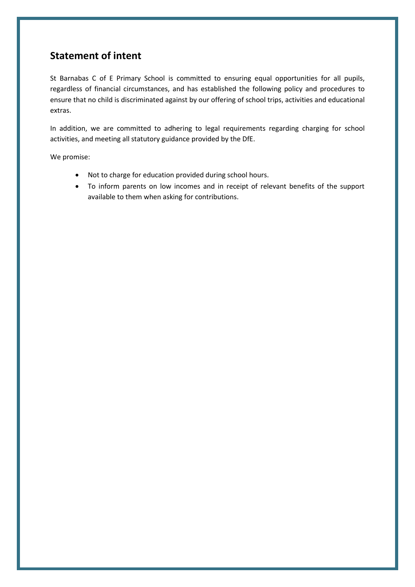# **Statement of intent**

St Barnabas C of E Primary School is committed to ensuring equal opportunities for all pupils, regardless of financial circumstances, and has established the following policy and procedures to ensure that no child is discriminated against by our offering of school trips, activities and educational extras.

In addition, we are committed to adhering to legal requirements regarding charging for school activities, and meeting all statutory guidance provided by the DfE.

We promise:

- Not to charge for education provided during school hours.
- To inform parents on low incomes and in receipt of relevant benefits of the support available to them when asking for contributions.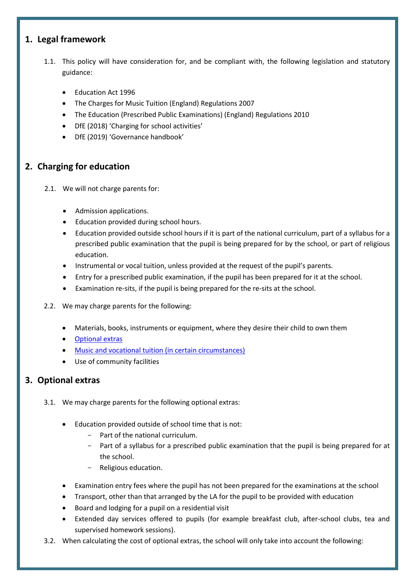# **1. Legal framework**

- 1.1. This policy will have consideration for, and be compliant with, the following legislation and statutory guidance:
	- Education Act 1996
	- The Charges for Music Tuition (England) Regulations 2007
	- The Education (Prescribed Public Examinations) (England) Regulations 2010
	- DfE (2018) 'Charging for school activities'
	- DfE (2019) 'Governance handbook'

# **2. Charging for education**

- 2.1. We will not charge parents for:
	- Admission applications.
	- Education provided during school hours.
	- Education provided outside school hours if it is part of the national curriculum, part of a syllabus for a prescribed public examination that the pupil is being prepared for by the school, or part of religious education.
	- Instrumental or vocal tuition, unless provided at the request of the pupil's parents.
	- Entry for a prescribed public examination, if the pupil has been prepared for it at the school.
	- Examination re-sits, if the pupil is being prepared for the re-sits at the school.
- 2.2. We may charge parents for the following:
	- Materials, books, instruments or equipment, where they desire their child to own them
	- [Optional extras](#page-3-0)
	- Music [and vocational tuition \(in certain circumstances\)](#page-5-0)
	- Use of community facilities

# <span id="page-3-0"></span>**3. Optional extras**

- 3.1. We may charge parents for the following optional extras:
	- Education provided outside of school time that is not:
		- Part of the national curriculum.
		- Part of a syllabus for a prescribed public examination that the pupil is being prepared for at the school.
		- Religious education.
	- Examination entry fees where the pupil has not been prepared for the examinations at the school
	- Transport, other than that arranged by the LA for the pupil to be provided with education
	- Board and lodging for a pupil on a residential visit
	- Extended day services offered to pupils (for example breakfast club, after-school clubs, tea and supervised homework sessions).
- 3.2. When calculating the cost of optional extras, the school will only take into account the following: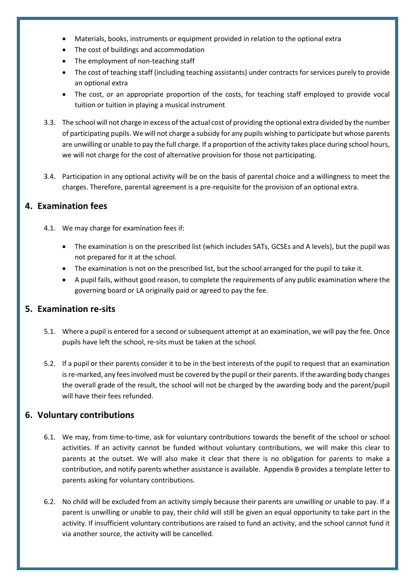- Materials, books, instruments or equipment provided in relation to the optional extra
- The cost of buildings and accommodation
- The employment of non-teaching staff
- The cost of teaching staff (including teaching assistants) under contracts for services purely to provide an optional extra
- The cost, or an appropriate proportion of the costs, for teaching staff employed to provide vocal tuition or tuition in playing a musical instrument
- 3.3. The school will not charge in excess of the actual cost of providing the optional extra divided by the number of participating pupils. We will not charge a subsidy for any pupils wishing to participate but whose parents are unwilling or unable to pay the full charge. If a proportion of the activity takes place during school hours, we will not charge for the cost of alternative provision for those not participating.
- 3.4. Participation in any optional activity will be on the basis of parental choice and a willingness to meet the charges. Therefore, parental agreement is a pre-requisite for the provision of an optional extra.

# **4. Examination fees**

- 4.1. We may charge for examination fees if:
	- The examination is on the prescribed list (which includes SATs, GCSEs and A levels), but the pupil was not prepared for it at the school.
	- The examination is not on the prescribed list, but the school arranged for the pupil to take it.
	- A pupil fails, without good reason, to complete the requirements of any public examination where the governing board or LA originally paid or agreed to pay the fee.

# **5. Examination re-sits**

- 5.1. Where a pupil is entered for a second or subsequent attempt at an examination, we will pay the fee. Once pupils have left the school, re-sits must be taken at the school.
- 5.2. If a pupil or their parents consider it to be in the best interests of the pupil to request that an examination is re-marked, any fees involved must be covered by the pupil or their parents. If the awarding body changes the overall grade of the result, the school will not be charged by the awarding body and the parent/pupil will have their fees refunded.

# **6. Voluntary contributions**

- 6.1. We may, from time-to-time, ask for voluntary contributions towards the benefit of the school or school activities. If an activity cannot be funded without voluntary contributions, we will make this clear to parents at the outset. We will also make it clear that there is no obligation for parents to make a contribution, and notify parents whether assistance is available. Appendix B provides a template letter to parents asking for voluntary contributions.
- 6.2. No child will be excluded from an activity simply because their parents are unwilling or unable to pay. If a parent is unwilling or unable to pay, their child will still be given an equal opportunity to take part in the activity. If insufficient voluntary contributions are raised to fund an activity, and the school cannot fund it via another source, the activity will be cancelled.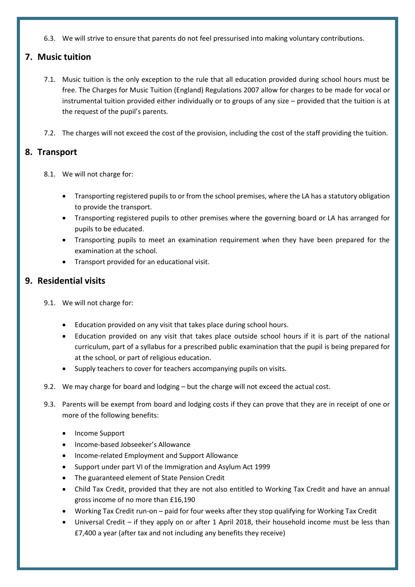6.3. We will strive to ensure that parents do not feel pressurised into making voluntary contributions.

# <span id="page-5-0"></span>**7. Music tuition**

- 7.1. Music tuition is the only exception to the rule that all education provided during school hours must be free. The Charges for Music Tuition (England) Regulations 2007 allow for charges to be made for vocal or instrumental tuition provided either individually or to groups of any size – provided that the tuition is at the request of the pupil's parents.
- 7.2. The charges will not exceed the cost of the provision, including the cost of the staff providing the tuition.

# **8. Transport**

- 8.1. We will not charge for:
	- Transporting registered pupils to or from the school premises, where the LA has a statutory obligation to provide the transport.
	- Transporting registered pupils to other premises where the governing board or LA has arranged for pupils to be educated.
	- Transporting pupils to meet an examination requirement when they have been prepared for the examination at the school.
	- Transport provided for an educational visit.

# **9. Residential visits**

- 9.1. We will not charge for:
	- Education provided on any visit that takes place during school hours.
	- Education provided on any visit that takes place outside school hours if it is part of the national curriculum, part of a syllabus for a prescribed public examination that the pupil is being prepared for at the school, or part of religious education.
	- Supply teachers to cover for teachers accompanying pupils on visits.
- 9.2. We may charge for board and lodging but the charge will not exceed the actual cost.
- 9.3. Parents will be exempt from board and lodging costs if they can prove that they are in receipt of one or more of the following benefits:
	- Income Support
	- Income-based Jobseeker's Allowance
	- Income-related Employment and Support Allowance
	- Support under part VI of the Immigration and Asylum Act 1999
	- The guaranteed element of State Pension Credit
	- Child Tax Credit, provided that they are not also entitled to Working Tax Credit and have an annual gross income of no more than £16,190
	- Working Tax Credit run-on paid for four weeks after they stop qualifying for Working Tax Credit
	- Universal Credit if they apply on or after 1 April 2018, their household income must be less than £7,400 a year (after tax and not including any benefits they receive)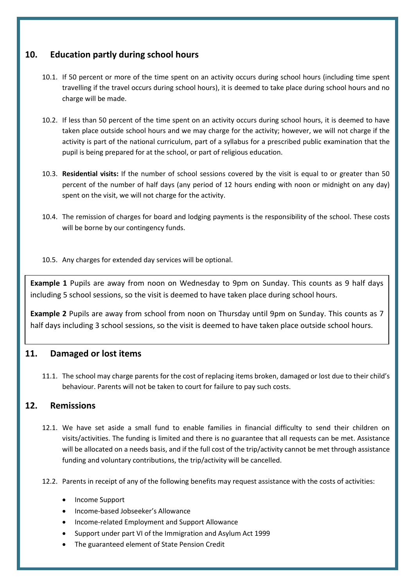# **10. Education partly during school hours**

- 10.1. If 50 percent or more of the time spent on an activity occurs during school hours (including time spent travelling if the travel occurs during school hours), it is deemed to take place during school hours and no charge will be made.
- 10.2. If less than 50 percent of the time spent on an activity occurs during school hours, it is deemed to have taken place outside school hours and we may charge for the activity; however, we will not charge if the activity is part of the national curriculum, part of a syllabus for a prescribed public examination that the pupil is being prepared for at the school, or part of religious education.
- 10.3. **Residential visits:** If the number of school sessions covered by the visit is equal to or greater than 50 percent of the number of half days (any period of 12 hours ending with noon or midnight on any day) spent on the visit, we will not charge for the activity.
- 10.4. The remission of charges for board and lodging payments is the responsibility of the school. These costs will be borne by our contingency funds.
- 10.5. Any charges for extended day services will be optional.

**Example 1** Pupils are away from noon on Wednesday to 9pm on Sunday. This counts as 9 half days including 5 school sessions, so the visit is deemed to have taken place during school hours.

**Example 2** Pupils are away from school from noon on Thursday until 9pm on Sunday. This counts as 7 half days including 3 school sessions, so the visit is deemed to have taken place outside school hours.

# **11. Damaged or lost items**

11.1. The school may charge parents for the cost of replacing items broken, damaged or lost due to their child's behaviour. Parents will not be taken to court for failure to pay such costs.

# **12. Remissions**

- 12.1. We have set aside a small fund to enable families in financial difficulty to send their children on visits/activities. The funding is limited and there is no guarantee that all requests can be met. Assistance will be allocated on a needs basis, and if the full cost of the trip/activity cannot be met through assistance funding and voluntary contributions, the trip/activity will be cancelled.
- 12.2. Parents in receipt of any of the following benefits may request assistance with the costs of activities:
	- Income Support
	- Income-based Jobseeker's Allowance
	- Income-related Employment and Support Allowance
	- Support under part VI of the Immigration and Asylum Act 1999
	- The guaranteed element of State Pension Credit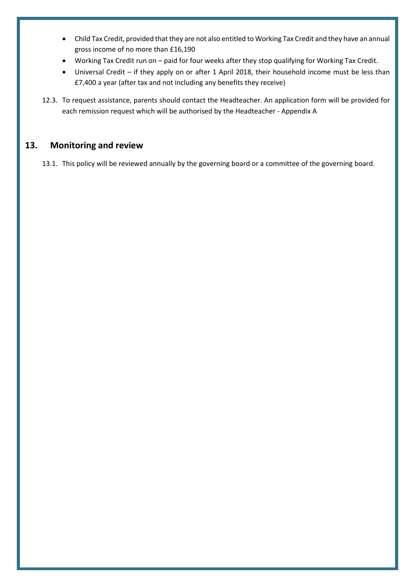- Child Tax Credit, provided that they are not also entitled to Working Tax Credit and they have an annual gross income of no more than £16,190
- Working Tax Credit run on paid for four weeks after they stop qualifying for Working Tax Credit.
- Universal Credit if they apply on or after 1 April 2018, their household income must be less than £7,400 a year (after tax and not including any benefits they receive)
- 12.3. To request assistance, parents should contact the Headteacher. An application form will be provided for each remission request which will be authorised by the Headteacher - Appendix A

# **13. Monitoring and review**

13.1. This policy will be reviewed annually by the governing board or a committee of the governing board.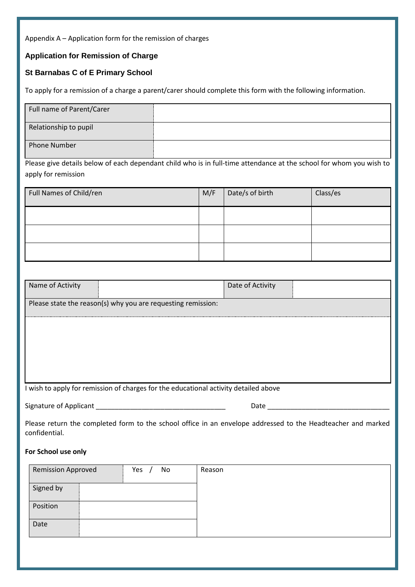Appendix A – Application form for the remission of charges

### **Application for Remission of Charge**

### **St Barnabas C of E Primary School**

To apply for a remission of a charge a parent/carer should complete this form with the following information.

| Full name of Parent/Carer |  |
|---------------------------|--|
| Relationship to pupil     |  |
| Phone Number              |  |

Please give details below of each dependant child who is in full-time attendance at the school for whom you wish to apply for remission

| Full Names of Child/ren | M/F | Date/s of birth | Class/es |
|-------------------------|-----|-----------------|----------|
|                         |     |                 |          |
|                         |     |                 |          |
|                         |     |                 |          |

| Name of Activity                                                                     |           | Date of Activity                                                                                             |  |
|--------------------------------------------------------------------------------------|-----------|--------------------------------------------------------------------------------------------------------------|--|
| Please state the reason(s) why you are requesting remission:                         |           |                                                                                                              |  |
|                                                                                      |           |                                                                                                              |  |
|                                                                                      |           |                                                                                                              |  |
|                                                                                      |           |                                                                                                              |  |
|                                                                                      |           |                                                                                                              |  |
| I wish to apply for remission of charges for the educational activity detailed above |           |                                                                                                              |  |
| Signature of Applicant                                                               |           | Date                                                                                                         |  |
| confidential.                                                                        |           | Please return the completed form to the school office in an envelope addressed to the Headteacher and marked |  |
| For School use only                                                                  |           |                                                                                                              |  |
| <b>Remission Approved</b>                                                            | No<br>Yes | Reason                                                                                                       |  |

| Remission Approved | Yes<br>No. | Reason |
|--------------------|------------|--------|
| Signed by          |            |        |
| Position           |            |        |
| Date               |            |        |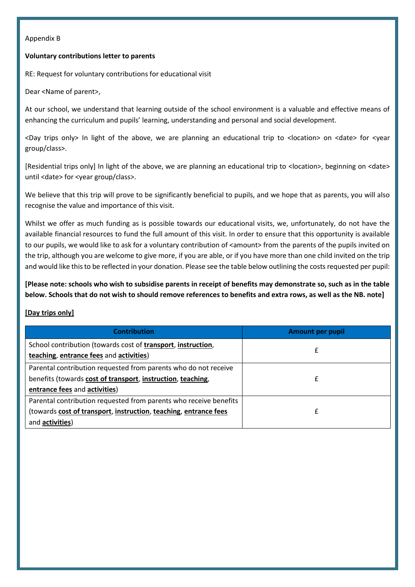#### Appendix B

#### **Voluntary contributions letter to parents**

RE: Request for voluntary contributions for educational visit

Dear <Name of parent>,

At our school, we understand that learning outside of the school environment is a valuable and effective means of enhancing the curriculum and pupils' learning, understanding and personal and social development.

<Day trips only> In light of the above, we are planning an educational trip to <location> on <date> for <year group/class>.

[Residential trips only] In light of the above, we are planning an educational trip to <location>, beginning on <date> until <date> for <year group/class>.

We believe that this trip will prove to be significantly beneficial to pupils, and we hope that as parents, you will also recognise the value and importance of this visit.

Whilst we offer as much funding as is possible towards our educational visits, we, unfortunately, do not have the available financial resources to fund the full amount of this visit. In order to ensure that this opportunity is available to our pupils, we would like to ask for a voluntary contribution of <amount> from the parents of the pupils invited on the trip, although you are welcome to give more, if you are able, or if you have more than one child invited on the trip and would like this to be reflected in your donation. Please see the table below outlining the costs requested per pupil:

**[Please note: schools who wish to subsidise parents in receipt of benefits may demonstrate so, such as in the table below. Schools that do not wish to should remove references to benefits and extra rows, as well as the NB. note]**

#### **[Day trips only]**

| <b>Contribution</b>                                                                                                                                              | <b>Amount per pupil</b> |
|------------------------------------------------------------------------------------------------------------------------------------------------------------------|-------------------------|
| School contribution (towards cost of transport, instruction,<br>teaching, entrance fees and activities)                                                          |                         |
| Parental contribution requested from parents who do not receive<br>benefits (towards cost of transport, instruction, teaching,<br>entrance fees and activities)  |                         |
| Parental contribution requested from parents who receive benefits<br>(towards cost of transport, instruction, teaching, entrance fees<br>and <b>activities</b> ) |                         |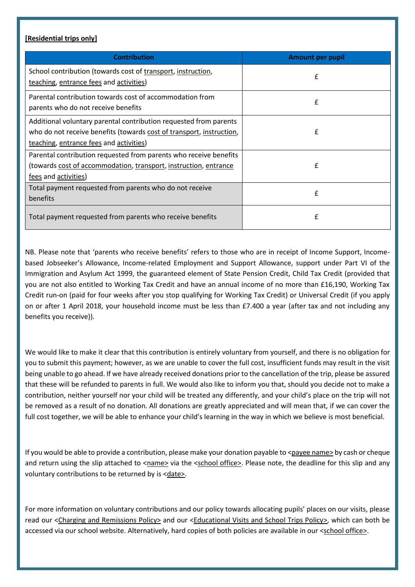#### **[Residential trips only]**

| <b>Contribution</b>                                                                                                                                                                  | <b>Amount per pupil</b> |
|--------------------------------------------------------------------------------------------------------------------------------------------------------------------------------------|-------------------------|
| School contribution (towards cost of transport, instruction,<br>teaching, entrance fees and activities)                                                                              | £                       |
| Parental contribution towards cost of accommodation from<br>parents who do not receive benefits                                                                                      | £                       |
| Additional voluntary parental contribution requested from parents<br>who do not receive benefits (towards cost of transport, instruction,<br>teaching, entrance fees and activities) | f                       |
| Parental contribution requested from parents who receive benefits<br>(towards cost of accommodation, transport, instruction, entrance<br>fees and activities)                        | £                       |
| Total payment requested from parents who do not receive<br>benefits                                                                                                                  | £                       |
| Total payment requested from parents who receive benefits                                                                                                                            | £                       |

NB. Please note that 'parents who receive benefits' refers to those who are in receipt of Income Support, Incomebased Jobseeker's Allowance, Income-related Employment and Support Allowance, support under Part VI of the Immigration and Asylum Act 1999, the guaranteed element of State Pension Credit, Child Tax Credit (provided that you are not also entitled to Working Tax Credit and have an annual income of no more than £16,190, Working Tax Credit run-on (paid for four weeks after you stop qualifying for Working Tax Credit) or Universal Credit (if you apply on or after 1 April 2018, your household income must be less than £7.400 a year (after tax and not including any benefits you receive)).

We would like to make it clear that this contribution is entirely voluntary from yourself, and there is no obligation for you to submit this payment; however, as we are unable to cover the full cost, insufficient funds may result in the visit being unable to go ahead. If we have already received donations prior to the cancellation of the trip, please be assured that these will be refunded to parents in full. We would also like to inform you that, should you decide not to make a contribution, neither yourself nor your child will be treated any differently, and your child's place on the trip will not be removed as a result of no donation. All donations are greatly appreciated and will mean that, if we can cover the full cost together, we will be able to enhance your child's learning in the way in which we believe is most beneficial.

If you would be able to provide a contribution, please make your donation payable to  $\leq$  payee name by cash or cheque and return using the slip attached to <name> via the <school office>. Please note, the deadline for this slip and any voluntary contributions to be returned by is <date>.

For more information on voluntary contributions and our policy towards allocating pupils' places on our visits, please read our <Charging and Remissions Policy> and our <Educational Visits and School Trips Policy>, which can both be accessed via our school website. Alternatively, hard copies of both policies are available in our <school office>.